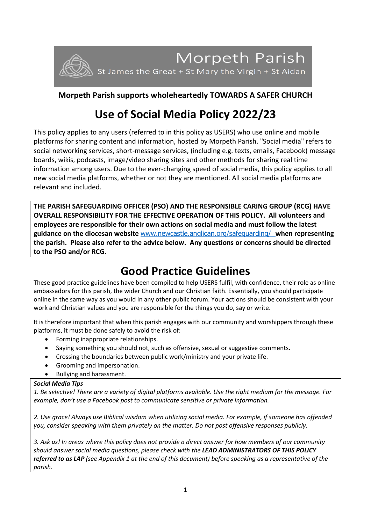

## **Morpeth Parish supports wholeheartedly TOWARDS A SAFER CHURCH**

# **Use of Social Media Policy 2022/23**

This policy applies to any users (referred to in this policy as USERS) who use online and mobile platforms for sharing content and information, hosted by Morpeth Parish. "Social media" refers to social networking services, short-message services, (including e.g. texts, emails, Facebook) message boards, wikis, podcasts, image/video sharing sites and other methods for sharing real time information among users. Due to the ever-changing speed of social media, this policy applies to all new social media platforms, whether or not they are mentioned. All social media platforms are relevant and included.

**THE PARISH SAFEGUARDING OFFICER (PSO) AND THE RESPONSIBLE CARING GROUP (RCG) HAVE OVERALL RESPONSIBILITY FOR THE EFFECTIVE OPERATION OF THIS POLICY. All volunteers and employees are responsible for their own actions on social media and must follow the latest guidance on the diocesan website** [www.newcastle.anglican.org/safeguarding/](http://www.newcastle.anglican.org/safeguarding/) **when representing the parish. Please also refer to the advice below. Any questions or concerns should be directed to the PSO and/or RCG.**

# **Good Practice Guidelines**

These good practice guidelines have been compiled to help USERS fulfil, with confidence, their role as online ambassadors for this parish, the wider Church and our Christian faith. Essentially, you should participate online in the same way as you would in any other public forum. Your actions should be consistent with your work and Christian values and you are responsible for the things you do, say or write.

It is therefore important that when this parish engages with our community and worshippers through these platforms, it must be done safely to avoid the risk of:

- Forming inappropriate relationships.
- Saying something you should not, such as offensive, sexual or suggestive comments.
- Crossing the boundaries between public work/ministry and your private life.
- Grooming and impersonation.
- Bullying and harassment.

#### *Social Media Tips*

*1. Be selective! There are a variety of digital platforms available. Use the right medium for the message. For example, don't use a Facebook post to communicate sensitive or private information.*

*2. Use grace! Always use Biblical wisdom when utilizing social media. For example, if someone has offended you, consider speaking with them privately on the matter. Do not post offensive responses publicly.*

*3. Ask us! In areas where this policy does not provide a direct answer for how members of our community should answer social media questions, please check with the LEAD ADMINISTRATORS OF THIS POLICY referred to as LAP (see Appendix 1 at the end of this document) before speaking as a representative of the parish.*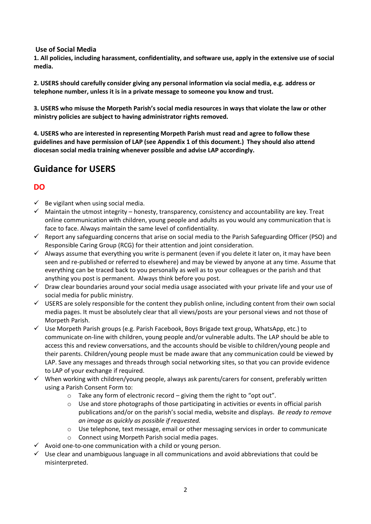**Use of Social Media**

**1. All policies, including harassment, confidentiality, and software use, apply in the extensive use of social media.**

**2. USERS should carefully consider giving any personal information via social media, e.g. address or telephone number, unless it is in a private message to someone you know and trust.**

**3. USERS who misuse the Morpeth Parish's social media resources in ways that violate the law or other ministry policies are subject to having administrator rights removed.** 

**4. USERS who are interested in representing Morpeth Parish must read and agree to follow these guidelines and have permission of LAP (see Appendix 1 of this document.) They should also attend diocesan social media training whenever possible and advise LAP accordingly.**

## **Guidance for USERS**

## **DO**

- $\checkmark$  Be vigilant when using social media.
- $\checkmark$  Maintain the utmost integrity honesty, transparency, consistency and accountability are key. Treat online communication with children, young people and adults as you would any communication that is face to face. Always maintain the same level of confidentiality.
- $\checkmark$  Report any safeguarding concerns that arise on social media to the Parish Safeguarding Officer (PSO) and Responsible Caring Group (RCG) for their attention and joint consideration.
- $\checkmark$  Always assume that everything you write is permanent (even if you delete it later on, it may have been seen and re-published or referred to elsewhere) and may be viewed by anyone at any time. Assume that everything can be traced back to you personally as well as to your colleagues or the parish and that anything you post is permanent. Always think before you post.
- $\checkmark$  Draw clear boundaries around your social media usage associated with your private life and your use of social media for public ministry.
- ✓ USERS are solely responsible for the content they publish online, including content from their own social media pages. It must be absolutely clear that all views/posts are your personal views and not those of Morpeth Parish.
- $\checkmark$  Use Morpeth Parish groups (e.g. Parish Facebook, Boys Brigade text group, WhatsApp, etc.) to communicate on-line with children, young people and/or vulnerable adults. The LAP should be able to access this and review conversations, and the accounts should be visible to children/young people and their parents. Children/young people must be made aware that any communication could be viewed by LAP. Save any messages and threads through social networking sites, so that you can provide evidence to LAP of your exchange if required.
- $\checkmark$  When working with children/young people, always ask parents/carers for consent, preferably written using a Parish Consent Form to:
	- o Take any form of electronic record giving them the right to "opt out".
	- o Use and store photographs of those participating in activities or events in official parish publications and/or on the parish's social media, website and displays. *Be ready to remove an image as quickly as possible if requested.*
	- o Use telephone, text message, email or other messaging services in order to communicate
	- o Connect using Morpeth Parish social media pages.
- $\checkmark$  Avoid one-to-one communication with a child or young person.
- $\checkmark$  Use clear and unambiguous language in all communications and avoid abbreviations that could be misinterpreted.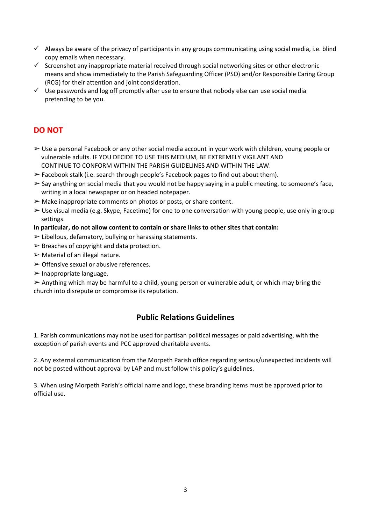- $\checkmark$  Always be aware of the privacy of participants in any groups communicating using social media, i.e. blind copy emails when necessary.
- ✓ Screenshot any inappropriate material received through social networking sites or other electronic means and show immediately to the Parish Safeguarding Officer (PSO) and/or Responsible Caring Group (RCG) for their attention and joint consideration.
- $\checkmark$  Use passwords and log off promptly after use to ensure that nobody else can use social media pretending to be you.

### **DO NOT**

- ➢ Use a personal Facebook or any other social media account in your work with children, young people or vulnerable adults. IF YOU DECIDE TO USE THIS MEDIUM, BE EXTREMELY VIGILANT AND CONTINUE TO CONFORM WITHIN THE PARISH GUIDELINES AND WITHIN THE LAW.
- $\triangleright$  Facebook stalk (i.e. search through people's Facebook pages to find out about them).
- $\triangleright$  Say anything on social media that you would not be happy saying in a public meeting, to someone's face, writing in a local newspaper or on headed notepaper.
- $\triangleright$  Make inappropriate comments on photos or posts, or share content.
- $\triangleright$  Use visual media (e.g. Skype, Facetime) for one to one conversation with young people, use only in group settings.
- **In particular, do not allow content to contain or share links to other sites that contain:**
- $\triangleright$  Libellous, defamatory, bullying or harassing statements.
- $\triangleright$  Breaches of copyright and data protection.
- $\triangleright$  Material of an illegal nature.
- $\triangleright$  Offensive sexual or abusive references.
- $\triangleright$  Inappropriate language.

 $\triangleright$  Anything which may be harmful to a child, young person or vulnerable adult, or which may bring the church into disrepute or compromise its reputation.

### **Public Relations Guidelines**

1. Parish communications may not be used for partisan political messages or paid advertising, with the exception of parish events and PCC approved charitable events.

2. Any external communication from the Morpeth Parish office regarding serious/unexpected incidents will not be posted without approval by LAP and must follow this policy's guidelines.

3. When using Morpeth Parish's official name and logo, these branding items must be approved prior to official use.